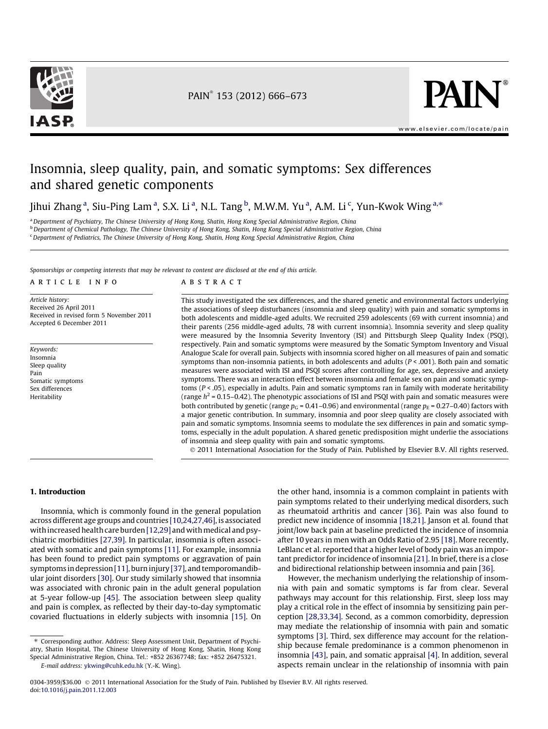

PAIN<sup>®</sup> 153 (2012) 666-673



[www.elsevier.com/locate/pain](http://www.elsevier.com/locate/pain)

# Insomnia, sleep quality, pain, and somatic symptoms: Sex differences and shared genetic components

Jihui Zhang<sup>a</sup>, Siu-Ping Lam<sup>a</sup>, S.X. Li<sup>a</sup>, N.L. Tang<sup>b</sup>, M.W.M. Yu<sup>a</sup>, A.M. Li<sup>c</sup>, Yun-Kwok Wing<sup>a,\*</sup>

a Department of Psychiatry, The Chinese University of Hong Kong, Shatin, Hong Kong Special Administrative Region, China

<sup>b</sup> Department of Chemical Pathology, The Chinese University of Hong Kong, Shatin, Hong Kong Special Administrative Region, China

<sup>c</sup> Department of Pediatrics, The Chinese University of Hong Kong, Shatin, Hong Kong Special Administrative Region, China

Sponsorships or competing interests that may be relevant to content are disclosed at the end of this article.

#### article info

Article history: Received 26 April 2011 Received in revised form 5 November 2011 Accepted 6 December 2011

Keywords: Insomnia Sleep quality Pain Somatic symptoms Sex differences Heritability

abstract

This study investigated the sex differences, and the shared genetic and environmental factors underlying the associations of sleep disturbances (insomnia and sleep quality) with pain and somatic symptoms in both adolescents and middle-aged adults. We recruited 259 adolescents (69 with current insomnia) and their parents (256 middle-aged adults, 78 with current insomnia). Insomnia severity and sleep quality were measured by the Insomnia Severity Inventory (ISI) and Pittsburgh Sleep Quality Index (PSQI), respectively. Pain and somatic symptoms were measured by the Somatic Symptom Inventory and Visual Analogue Scale for overall pain. Subjects with insomnia scored higher on all measures of pain and somatic symptoms than non-insomnia patients, in both adolescents and adults ( $P < .001$ ). Both pain and somatic measures were associated with ISI and PSQI scores after controlling for age, sex, depressive and anxiety symptoms. There was an interaction effect between insomnia and female sex on pain and somatic symptoms (P < .05), especially in adults. Pain and somatic symptoms ran in family with moderate heritability (range  $h^2$  = 0.15–0.42). The phenotypic associations of ISI and PSQI with pain and somatic measures were both contributed by genetic (range  $p_G = 0.41 - 0.96$ ) and environmental (range  $p_F = 0.27 - 0.40$ ) factors with a major genetic contribution. In summary, insomnia and poor sleep quality are closely associated with pain and somatic symptoms. Insomnia seems to modulate the sex differences in pain and somatic symptoms, especially in the adult population. A shared genetic predisposition might underlie the associations of insomnia and sleep quality with pain and somatic symptoms.

- 2011 International Association for the Study of Pain. Published by Elsevier B.V. All rights reserved.

# 1. Introduction

Insomnia, which is commonly found in the general population across different age groups and countries [\[10,24,27,46\]](#page--1-0), is associated with increased health care burden [\[12,29\]](#page--1-0) and with medical and psychiatric morbidities [\[27,39\].](#page--1-0) In particular, insomnia is often associated with somatic and pain symptoms [\[11\]](#page--1-0). For example, insomnia has been found to predict pain symptoms or aggravation of pain symptoms in depression [\[11\],](#page--1-0) burn injury [\[37\]](#page--1-0), and temporomandibular joint disorders [\[30\].](#page--1-0) Our study similarly showed that insomnia was associated with chronic pain in the adult general population at 5-year follow-up [\[45\]](#page--1-0). The association between sleep quality and pain is complex, as reflected by their day-to-day symptomatic covaried fluctuations in elderly subjects with insomnia [\[15\]](#page--1-0). On the other hand, insomnia is a common complaint in patients with pain symptoms related to their underlying medical disorders, such as rheumatoid arthritis and cancer [\[36\].](#page--1-0) Pain was also found to predict new incidence of insomnia [\[18,21\]](#page--1-0). Janson et al. found that joint/low back pain at baseline predicted the incidence of insomnia after 10 years in men with an Odds Ratio of 2.95 [\[18\]](#page--1-0). More recently, LeBlanc et al. reported that a higher level of body pain was an important predictor for incidence of insomnia [\[21\]](#page--1-0). In brief, there is a close and bidirectional relationship between insomnia and pain [\[36\]](#page--1-0).

However, the mechanism underlying the relationship of insomnia with pain and somatic symptoms is far from clear. Several pathways may account for this relationship. First, sleep loss may play a critical role in the effect of insomnia by sensitizing pain perception [\[28,33,34\].](#page--1-0) Second, as a common comorbidity, depression may mediate the relationship of insomnia with pain and somatic symptoms [\[3\].](#page--1-0) Third, sex difference may account for the relationship because female predominance is a common phenomenon in insomnia [\[43\],](#page--1-0) pain, and somatic appraisal [\[4\].](#page--1-0) In addition, several aspects remain unclear in the relationship of insomnia with pain

<sup>⇑</sup> Corresponding author. Address: Sleep Assessment Unit, Department of Psychiatry, Shatin Hospital, The Chinese University of Hong Kong, Shatin, Hong Kong

Special Administrative Region, China. Tel.: +852 26367748; fax: +852 26475321. E-mail address: [ykwing@cuhk.edu.hk](mailto:ykwing@cuhk.edu.hk) (Y.-K. Wing).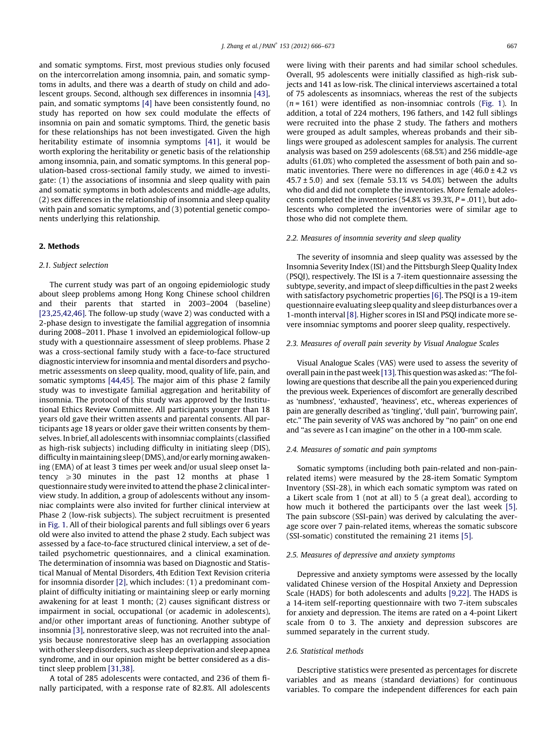and somatic symptoms. First, most previous studies only focused on the intercorrelation among insomnia, pain, and somatic symptoms in adults, and there was a dearth of study on child and adolescent groups. Second, although sex differences in insomnia [\[43\],](#page--1-0) pain, and somatic symptoms [\[4\]](#page--1-0) have been consistently found, no study has reported on how sex could modulate the effects of insomnia on pain and somatic symptoms. Third, the genetic basis for these relationships has not been investigated. Given the high heritability estimate of insomnia symptoms [\[41\],](#page--1-0) it would be worth exploring the heritability or genetic basis of the relationship among insomnia, pain, and somatic symptoms. In this general population-based cross-sectional family study, we aimed to investigate: (1) the associations of insomnia and sleep quality with pain and somatic symptoms in both adolescents and middle-age adults, (2) sex differences in the relationship of insomnia and sleep quality with pain and somatic symptoms, and (3) potential genetic components underlying this relationship.

# 2. Methods

# 2.1. Subject selection

The current study was part of an ongoing epidemiologic study about sleep problems among Hong Kong Chinese school children and their parents that started in 2003–2004 (baseline) [\[23,25,42,46\]](#page--1-0). The follow-up study (wave 2) was conducted with a 2-phase design to investigate the familial aggregation of insomnia during 2008–2011. Phase 1 involved an epidemiological follow-up study with a questionnaire assessment of sleep problems. Phase 2 was a cross-sectional family study with a face-to-face structured diagnostic interview for insomnia and mental disorders and psychometric assessments on sleep quality, mood, quality of life, pain, and somatic symptoms [\[44,45\].](#page--1-0) The major aim of this phase 2 family study was to investigate familial aggregation and heritability of insomnia. The protocol of this study was approved by the Institutional Ethics Review Committee. All participants younger than 18 years old gave their written assents and parental consents. All participants age 18 years or older gave their written consents by themselves. In brief, all adolescents with insomniac complaints (classified as high-risk subjects) including difficulty in initiating sleep (DIS), difficulty inmaintaining sleep (DMS), and/or early morning awakening (EMA) of at least 3 times per week and/or usual sleep onset latency  $\geqslant$  30 minutes in the past 12 months at phase 1 questionnaire study were invited to attend the phase 2 clinical interview study. In addition, a group of adolescents without any insomniac complaints were also invited for further clinical interview at Phase 2 (low-risk subjects). The subject recruitment is presented in [Fig. 1.](#page--1-0) All of their biological parents and full siblings over 6 years old were also invited to attend the phase 2 study. Each subject was assessed by a face-to-face structured clinical interview, a set of detailed psychometric questionnaires, and a clinical examination. The determination of insomnia was based on Diagnostic and Statistical Manual of Mental Disorders, 4th Edition Text Revision criteria for insomnia disorder [\[2\],](#page--1-0) which includes: (1) a predominant complaint of difficulty initiating or maintaining sleep or early morning awakening for at least 1 month; (2) causes significant distress or impairment in social, occupational (or academic in adolescents), and/or other important areas of functioning. Another subtype of insomnia [\[3\]](#page--1-0), nonrestorative sleep, was not recruited into the analysis because nonrestorative sleep has an overlapping association with other sleep disorders, such as sleep deprivation and sleep apnea syndrome, and in our opinion might be better considered as a distinct sleep problem [\[31,38\]](#page--1-0).

A total of 285 adolescents were contacted, and 236 of them finally participated, with a response rate of 82.8%. All adolescents were living with their parents and had similar school schedules. Overall, 95 adolescents were initially classified as high-risk subjects and 141 as low-risk. The clinical interviews ascertained a total of 75 adolescents as insomniacs, whereas the rest of the subjects  $(n = 161)$  were identified as non-insomniac controls ([Fig. 1\)](#page--1-0). In addition, a total of 224 mothers, 196 fathers, and 142 full siblings were recruited into the phase 2 study. The fathers and mothers were grouped as adult samples, whereas probands and their siblings were grouped as adolescent samples for analysis. The current analysis was based on 259 adolescents (68.5%) and 256 middle-age adults (61.0%) who completed the assessment of both pain and somatic inventories. There were no differences in age  $(46.0 \pm 4.2 \text{ vs } 10^{-10})$  $45.7 \pm 5.0$ ) and sex (female 53.1% vs 54.0%) between the adults who did and did not complete the inventories. More female adolescents completed the inventories (54.8% vs 39.3%,  $P = .011$ ), but adolescents who completed the inventories were of similar age to those who did not complete them.

### 2.2. Measures of insomnia severity and sleep quality

The severity of insomnia and sleep quality was assessed by the Insomnia Severity Index (ISI) and the Pittsburgh Sleep Quality Index (PSQI), respectively. The ISI is a 7-item questionnaire assessing the subtype, severity, and impact of sleep difficulties in the past 2 weeks with satisfactory psychometric properties [\[6\]](#page--1-0). The PSQI is a 19-item questionnaire evaluating sleep quality and sleep disturbances over a 1-month interval [\[8\].](#page--1-0) Higher scores in ISI and PSQI indicate more severe insomniac symptoms and poorer sleep quality, respectively.

#### 2.3. Measures of overall pain severity by Visual Analogue Scales

Visual Analogue Scales (VAS) were used to assess the severity of overall pain in the past week [\[13\]](#page--1-0). This question was asked as: ''The following are questions that describe all the pain you experienced during the previous week. Experiences of discomfort are generally described as 'numbness', 'exhausted', 'heaviness', etc., whereas experiences of pain are generally described as 'tingling', 'dull pain', 'burrowing pain', etc.'' The pain severity of VAS was anchored by ''no pain'' on one end and ''as severe as I can imagine'' on the other in a 100-mm scale.

## 2.4. Measures of somatic and pain symptoms

Somatic symptoms (including both pain-related and non-painrelated items) were measured by the 28-item Somatic Symptom Inventory (SSI-28), in which each somatic symptom was rated on a Likert scale from 1 (not at all) to 5 (a great deal), according to how much it bothered the participants over the last week [\[5\].](#page--1-0) The pain subscore (SSI-pain) was derived by calculating the average score over 7 pain-related items, whereas the somatic subscore (SSI-somatic) constituted the remaining 21 items [\[5\]](#page--1-0).

#### 2.5. Measures of depressive and anxiety symptoms

Depressive and anxiety symptoms were assessed by the locally validated Chinese version of the Hospital Anxiety and Depression Scale (HADS) for both adolescents and adults [\[9,22\]](#page--1-0). The HADS is a 14-item self-reporting questionnaire with two 7-item subscales for anxiety and depression. The items are rated on a 4-point Likert scale from 0 to 3. The anxiety and depression subscores are summed separately in the current study.

# 2.6. Statistical methods

Descriptive statistics were presented as percentages for discrete variables and as means (standard deviations) for continuous variables. To compare the independent differences for each pain